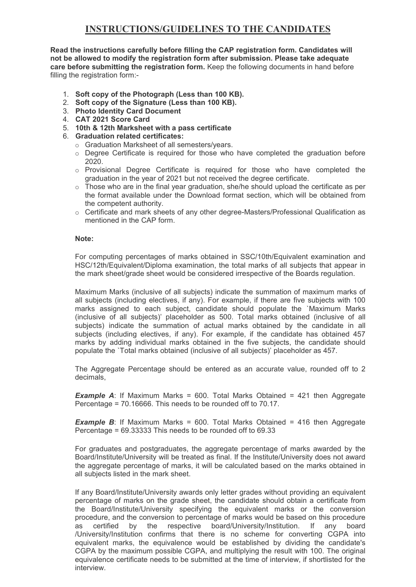## **INSTRUCTIONS/GUIDELINES TO THE CANDIDATES**

**Read the instructions carefully before filling the CAP registration form. Candidates will not be allowed to modify the registration form after submission. Please take adequate care before submitting the registration form.** Keep the following documents in hand before filling the registration form:-

- 1. **Soft copy of the Photograph (Less than 100 KB).**
- 2. **Soft copy of the Signature (Less than 100 KB).**
- 3. **Photo Identity Card Document**
- 4. **CAT 2021 Score Card**
- 5. **10th & 12th Marksheet with a pass certificate**
- 6. **Graduation related certificates:**
	- o Graduation Marksheet of all semesters/years.
	- $\circ$  Degree Certificate is required for those who have completed the graduation before 2020.
	- $\circ$  Provisional Degree Certificate is required for those who have completed the graduation in the year of 2021 but not received the degree certificate.
	- $\circ$  Those who are in the final year graduation, she/he should upload the certificate as per the format available under the Download format section, which will be obtained from the competent authority.
	- o Certificate and mark sheets of any other degree-Masters/Professional Qualification as mentioned in the CAP form.

## **Note:**

For computing percentages of marks obtained in SSC/10th/Equivalent examination and HSC/12th/Equivalent/Diploma examination, the total marks of all subjects that appear in the mark sheet/grade sheet would be considered irrespective of the Boards regulation.

Maximum Marks (inclusive of all subjects) indicate the summation of maximum marks of all subjects (including electives, if any). For example, if there are five subjects with 100 marks assigned to each subject, candidate should populate the `Maximum Marks (inclusive of all subjects)' placeholder as 500. Totalmarks obtained (inclusive of all subjects) indicate the summation of actual marks obtained by the candidate in all subjects (including electives, if any). For example, if the candidate has obtained 457 marks by adding individual marks obtained in the five subjects, the candidate should populate the `Total marks obtained (inclusive of all subjects)' placeholder as 457.

The Aggregate Percentage should be entered as an accurate value, rounded off to 2 decimals,

**Example A:** If Maximum Marks = 600. Total Marks Obtained = 421 then Aggregate Percentage =  $70.16666$ . This needs to be rounded off to  $70.17$ .

**Example B**: If Maximum Marks = 600. Total Marks Obtained = 416 then Aggregate Percentage =  $69.33333$  This needs to be rounded off to  $69.33$ 

For graduates and postgraduates, the aggregate percentage of marks awarded by the Board/Institute/University will be treated as final. If the Institute/University does not award the aggregate percentage of marks, it will be calculated based on the marks obtained in all subjects listed in the mark sheet.

If any Board/Institute/University awards only letter grades without providing an equivalent percentage of marks on the grade sheet, the candidate should obtain a certificate from the Board/Institute/University specifying the equivalent marks or the conversion procedure, and the conversion to percentage of marks would be based on this procedure as certified by the respective board/University/Institution. If any board /University/Institution confirms that there is no scheme for converting CGPA into equivalent marks, the equivalence would be established by dividing the candidate's CGPA by the maximum possible CGPA, and multiplying the result with 100. The original equivalence certificate needs to be submitted at the time of interview, if shortlisted for the interview.